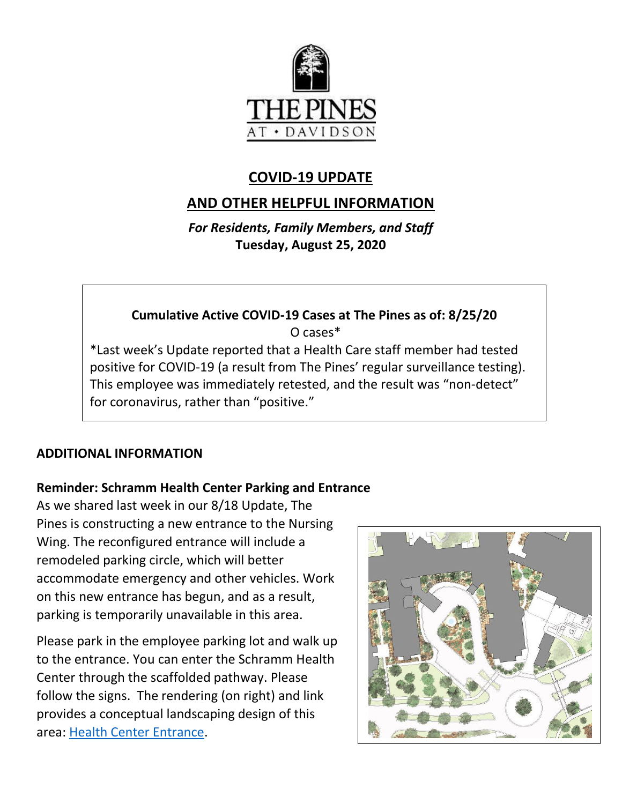

# **COVID-19 UPDATE**

# **AND OTHER HELPFUL INFORMATION**

*For Residents, Family Members, and Staff* **Tuesday, August 25, 2020**

# **Cumulative Active COVID-19 Cases at The Pines as of: 8/25/20** O cases\* \*Last week's Update reported that a Health Care staff member had tested positive for COVID-19 (a result from The Pines' regular surveillance testing). This employee was immediately retested, and the result was "non-detect" for coronavirus, rather than "positive."

#### **ADDITIONAL INFORMATION**

#### **Reminder: Schramm Health Center Parking and Entrance**

As we shared last week in our 8/18 Update, The Pines is constructing a new entrance to the Nursing Wing. The reconfigured entrance will include a remodeled parking circle, which will better accommodate emergency and other vehicles. Work on this new entrance has begun, and as a result, parking is temporarily unavailable in this area.

Please park in the employee parking lot and walk up to the entrance. You can enter the Schramm Health Center through the scaffolded pathway. Please follow the signs. The rendering (on right) and link provides a conceptual landscaping design of this area: [Health Center Entrance.](https://www.mycommunity-center.com/filephotos/463/Rendering%20of%20HC%20entrance.pdf)

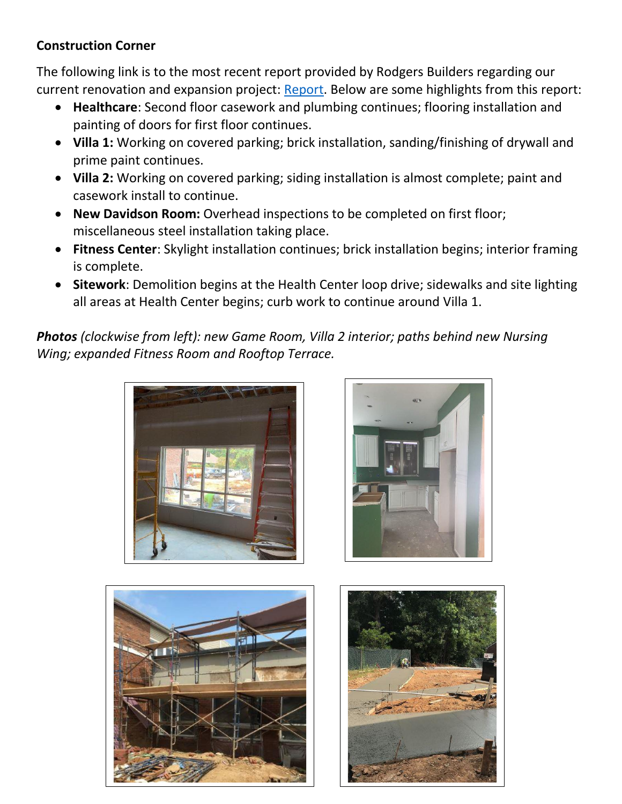## **Construction Corner**

The following link is to the most recent report provided by Rodgers Builders regarding our current renovation and expansion project: [Report.](https://www.mycommunity-center.com/filephotos/463/2020-08-21%20Weekly%20Update.pdf) Below are some highlights from this report:

- **Healthcare**: Second floor casework and plumbing continues; flooring installation and painting of doors for first floor continues.
- **Villa 1:** Working on covered parking; brick installation, sanding/finishing of drywall and prime paint continues.
- **Villa 2:** Working on covered parking; siding installation is almost complete; paint and casework install to continue.
- **New Davidson Room:** Overhead inspections to be completed on first floor; miscellaneous steel installation taking place.
- **Fitness Center**: Skylight installation continues; brick installation begins; interior framing is complete.
- **Sitework**: Demolition begins at the Health Center loop drive; sidewalks and site lighting all areas at Health Center begins; curb work to continue around Villa 1.

*Photos (clockwise from left): new Game Room, Villa 2 interior; paths behind new Nursing Wing; expanded Fitness Room and Rooftop Terrace.*